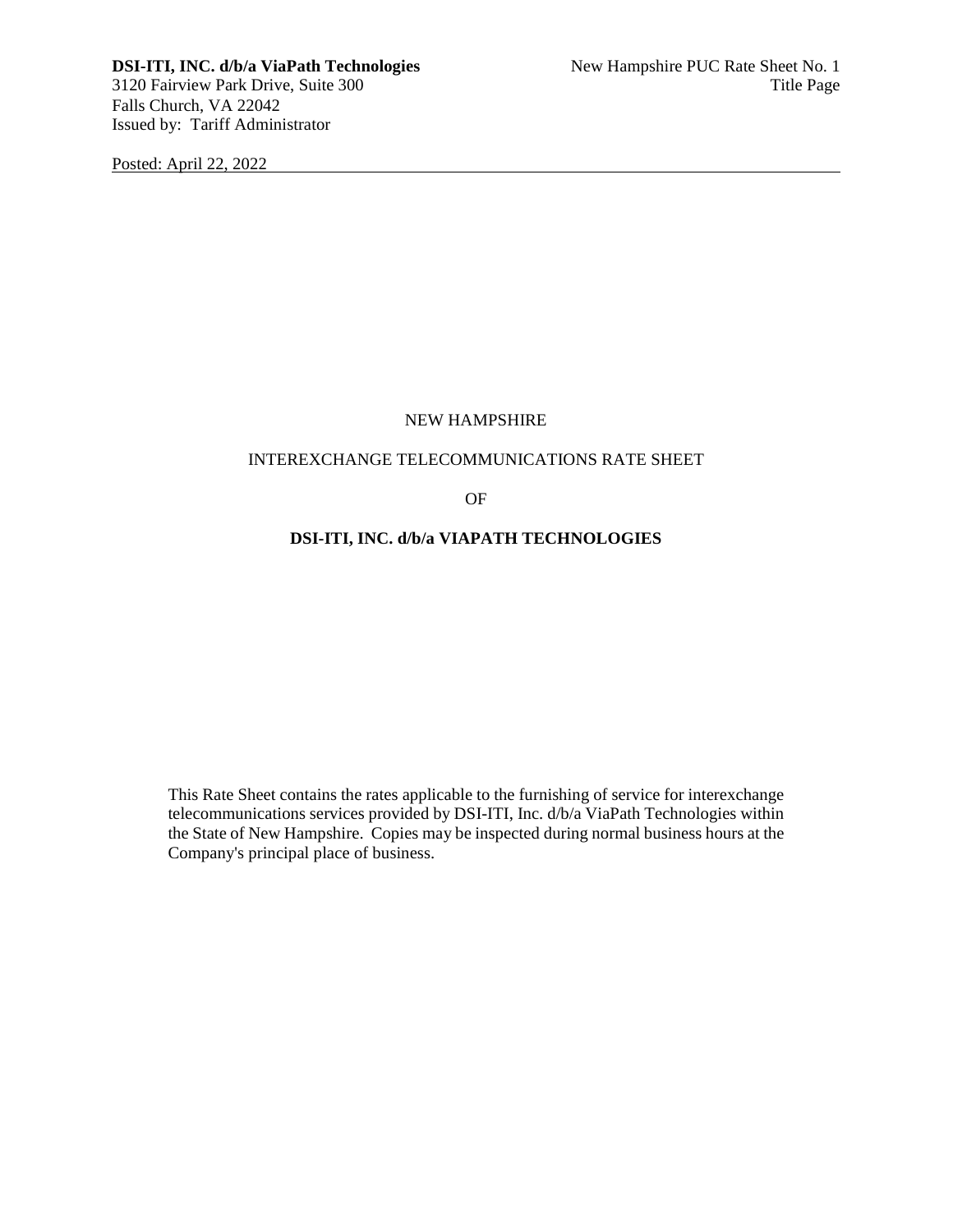Posted: April 22, 2022

# NEW HAMPSHIRE

## INTEREXCHANGE TELECOMMUNICATIONS RATE SHEET

OF

# **DSI-ITI, INC. d/b/a VIAPATH TECHNOLOGIES**

This Rate Sheet contains the rates applicable to the furnishing of service for interexchange telecommunications services provided by DSI-ITI, Inc. d/b/a ViaPath Technologies within the State of New Hampshire. Copies may be inspected during normal business hours at the Company's principal place of business.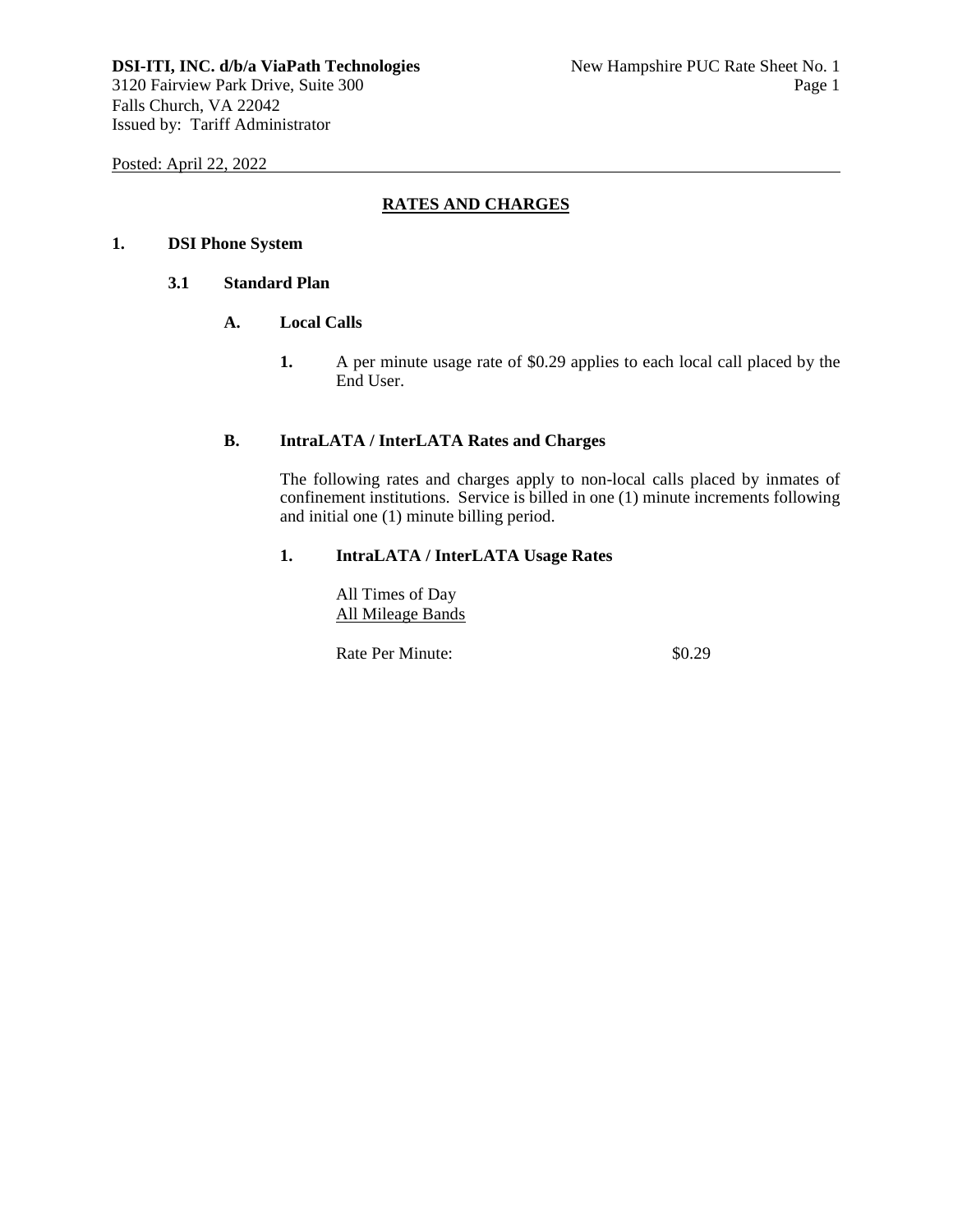Posted: April 22, 2022

# **RATES AND CHARGES**

## **1. DSI Phone System**

# **3.1 Standard Plan**

# **A. Local Calls**

**1.** A per minute usage rate of \$0.29 applies to each local call placed by the End User.

#### **B. IntraLATA / InterLATA Rates and Charges**

The following rates and charges apply to non-local calls placed by inmates of confinement institutions. Service is billed in one (1) minute increments following and initial one (1) minute billing period.

#### **1. IntraLATA / InterLATA Usage Rates**

All Times of Day All Mileage Bands

Rate Per Minute:  $$0.29$